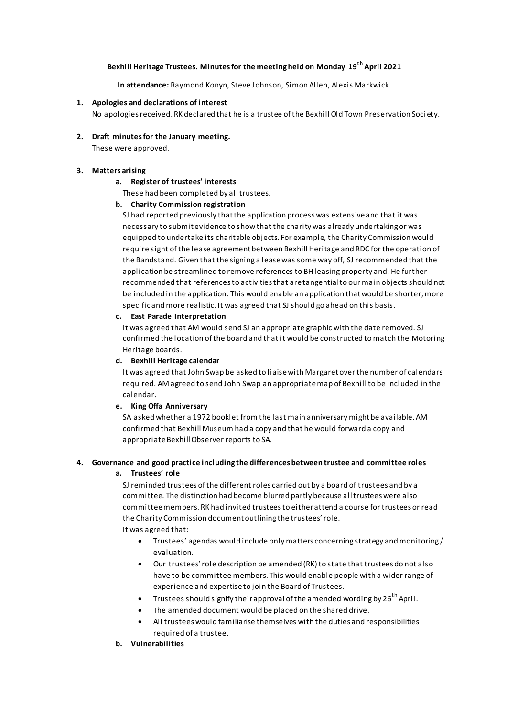### **Bexhill Heritage Trustees. Minutes for the meeting held on Monday 19th April 2021**

**In attendance:** Raymond Konyn, Steve Johnson, Simon Allen, Alexis Markwick

### **1. Apologies and declarations of interest**

No apologies received.RK declared that he is a trustee of the Bexhill Old Town Preservation Soci ety.

# **2. Draft minutes for the January meeting.**

These were approved.

### **3. Matters arising**

### **a. Register of trustees' interests**

These had been completed by all trustees.

### **b. Charity Commission registration**

SJ had reported previously that the application process was extensive and that it was necessary to submit evidence to show that the charity was already undertaking or was equipped to undertake its charitable objects. For example, the Charity Commission would require sight of the lease agreement between Bexhill Heritage and RDC for the operation of the Bandstand. Given that the signing a lease was some way off, SJ recommended that the application be streamlined to remove references to BH leasing property and. He further recommended that references to activities that are tangential to our main objects should not be included in the application. This would enable an application that would be shorter, more specific and more realistic. It was agreed that SJ should go ahead on this basis.

#### **c. East Parade Interpretation**

It was agreed that AM would send SJ an appropriate graphic with the date removed. SJ confirmed the location of the board and that it would be constructed to match the Motoring Heritage boards.

### **d. Bexhill Heritage calendar**

It was agreed that John Swap be asked to liaise with Margaret over the number of calendars required. AM agreed to send John Swap an appropriate map of Bexhill to be included in the calendar.

#### **e. King Offa Anniversary**

SA asked whether a 1972 booklet from the last main anniversary might be available. AM confirmed that Bexhill Museum had a copy and that he would forward a copy and appropriate Bexhill Observer reports to SA.

# **4. Governance and good practice including the differences between trustee and committee roles**

#### **a. Trustees' role**

SJ reminded trustees of the different roles carried out by a board of trustees and by a committee. The distinction had become blurred partly because all trustees were also committee members. RK had invited trustees to either attend a course for trustees or read the Charity Commission document outlining the trustees' role. It was agreed that:

- Trustees' agendas would include only matters concerning strategy and monitoring / evaluation.
- Our trustees' role description be amended (RK) to state that trustees do not also have to be committee members. This would enable people with a wider range of experience and expertise to join the Board of Trustees.
- Trustees should signify their approval of the amended wording by  $26^{th}$  April.
- The amended document would be placed on the shared drive.
- All trustees would familiarise themselves with the duties and responsibilities required of a trustee.
- **b. Vulnerabilities**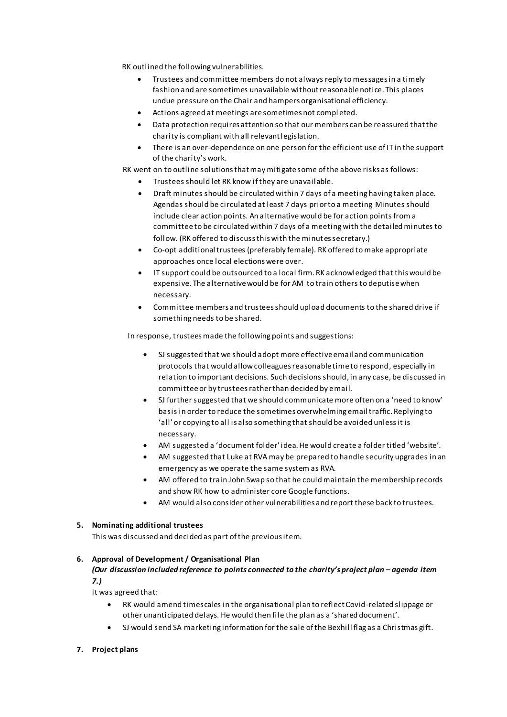RK outlined the following vulnerabilities.

- Trustees and committee members do not always reply to messages in a timely fashion and are sometimes unavailable without reasonable notice. This places undue pressure on the Chair and hampers organisational efficiency.
- Actions agreed at meetings are sometimes not compl eted.
- Data protection requires attention so that our members can be reassured that the charity is compliant with all relevant legislation.
- There is an over-dependence on one person for the efficient use of IT in the support of the charity's work.

RK went on to outline solutions that may mitigate some of the above risks as follows:

- Trustees should let RK know if they are unavailable.
- Draft minutes should be circulated within 7 days of a meeting having taken place. Agendas should be circulated at least 7 days prior to a meeting Minutes should include clear action points. An alternative would be for action points from a committee to be circulated within 7 days of a meeting with the detailed minutes to follow. (RK offered to discuss this with the minutes secretary.)
- Co-opt additional trustees (preferably female). RK offered to make appropriate approaches once local elections were over.
- IT support could be outsourced to a local firm. RK acknowledged that this would be expensive. The alternative would be for AM to train others to deputise when necessary.
- Committee members and trustees should upload documents to the shared drive if something needs to be shared.

In response, trustees made the following points and suggestions:

- SJ suggested that we should adopt more effective email and communication protocols that would allow colleagues reasonable time to respond, especially in relation to important decisions. Such decisions should, in any case, be discussed in committee or by trustees rather than decided by email.
- SJ further suggested that we should communicate more often on a 'need to know' basis in order to reduce the sometimes overwhelming email traffic. Replying to 'all' or copying to all is also something that should be avoided unless it is necessary.
- AM suggested a 'document folder' idea. He would create a folder titled 'website'.
- AM suggested that Luke at RVA may be prepared to handle security upgrades in an emergency as we operate the same system as RVA.
- AM offered to train John Swap so that he could maintain the membership records and show RK how to administer core Google functions.
- AM would also consider other vulnerabilities and report these back to trustees.

### **5. Nominating additional trustees**

This was discussed and decided as part of the previous item.

### **6. Approval of Development / Organisational Plan**

### *(Our discussion included reference to points connected to the charity's project plan – agenda item 7.)*

It was agreed that:

- RK would amend timescales in the organisational plan to reflect Covid-related slippage or other unanticipated delays. He would then file the plan as a 'shared document'.
- SJ would send SA marketing information for the sale of the Bexhill flag as a Christmas gift.

### **7. Project plans**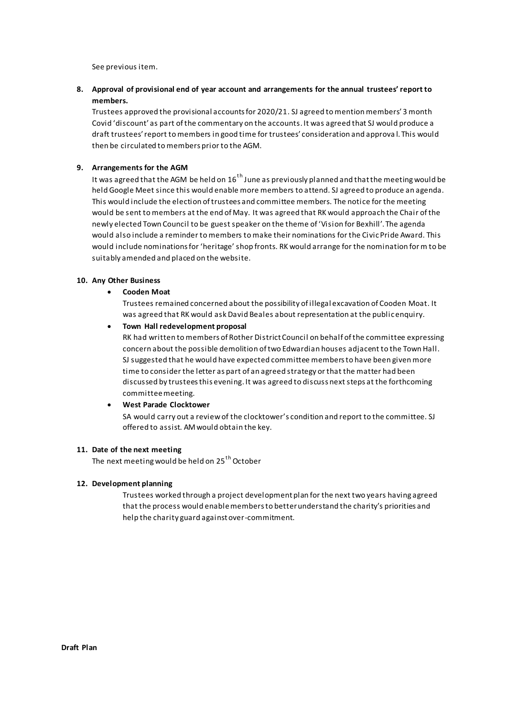See previous item.

**8. Approval of provisional end of year account and arrangements for the annual trustees' report to members.**

Trustees approved the provisional accounts for 2020/21. SJ agreed to mention members' 3 month Covid 'discount' as part of the commentary on the accounts. It was agreed that SJ would produce a draft trustees' report to members in good time for trustees' consideration and approva l. This would then be circulated to members prior to the AGM.

### **9. Arrangements for the AGM**

It was agreed that the AGM be held on  $16<sup>th</sup>$  June as previously planned and that the meeting would be held Google Meet since this would enable more members to attend. SJ agreed to produce an agenda. This would include the election of trustees and committee members. The notice for the meeting would be sent to members at the end of May. It was agreed that RK would approach the Chair of the newly elected Town Council to be guest speaker on the theme of 'Vision for Bexhill'. The agenda would also include a reminder to members to make their nominations for the Civic Pride Award. This would include nominations for 'heritage' shop fronts. RK would arrange for the nomination form to be suitably amended and placed on the website.

### **10. Any Other Business**

### **Cooden Moat**

Trustees remained concerned about the possibility of illegal excavation of Cooden Moat. It was agreed that RK would ask David Beales about representation at the public enquiry.

### **Town Hall redevelopment proposal**

RK had written to members of Rother District Council on behalf of the committee expressing concern about the possible demolition of two Edwardian houses adjacent to the Town Hall. SJ suggested that he would have expected committee members to have been given more time to consider the letter as part of an agreed strategy or that the matter had been discussed by trustees this evening. It was agreed to discuss next steps at the forthcoming committee meeting.

### **West Parade Clocktower**

SA would carry out a review of the clocktower's condition and report to the committee. SJ offered to assist. AM would obtain the key.

### **11. Date of the next meeting**

The next meeting would be held on 25<sup>th</sup> October

### **12. Development planning**

Trustees worked through a project development plan for the next two years having agreed that the process would enable members to better understand the charity's priorities and help the charity guard against over-commitment.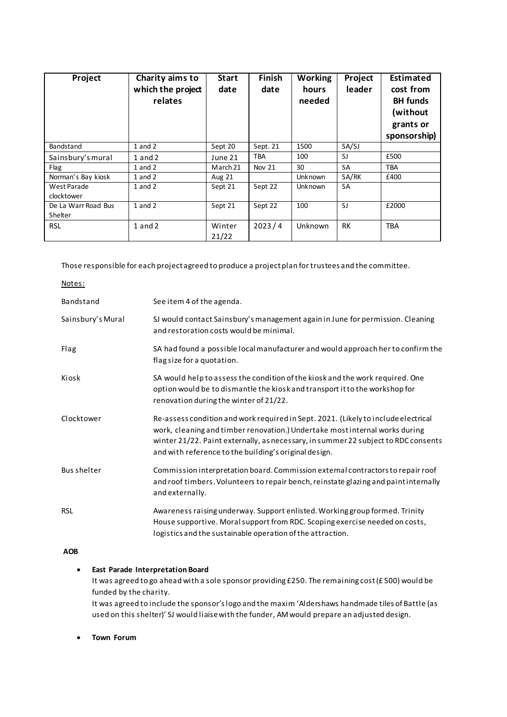| Project                        | Charity aims to<br>which the project<br>relates | <b>Start</b><br>date | <b>Finish</b><br>date | <b>Working</b><br>hours<br>needed | Project<br>leader | Estimated<br>cost from<br><b>BH</b> funds<br>(without<br>grants or<br>sponsorship) |
|--------------------------------|-------------------------------------------------|----------------------|-----------------------|-----------------------------------|-------------------|------------------------------------------------------------------------------------|
| <b>Bandstand</b>               | $1$ and $2$                                     | Sept 20              | Sept. 21              | 1500                              | SA/SJ             |                                                                                    |
| Sainsbury's mural              | $1$ and $2$                                     | June 21              | TBA                   | 100                               | SJ                | £500                                                                               |
| Flag                           | $1$ and $2$                                     | March 21             | Nov 21                | 30                                | SA                | <b>TBA</b>                                                                         |
| Norman's Bay kiosk             | $1$ and $2$                                     | Aug 21               |                       | <b>Unknown</b>                    | SA/RK             | £400                                                                               |
| West Parade<br>clocktower      | $1$ and $2$                                     | Sept 21              | Sept 22               | <b>Unknown</b>                    | <b>SA</b>         |                                                                                    |
| De La Warr Road Bus<br>Shelter | $1$ and $2$                                     | Sept 21              | Sept 22               | 100                               | SJ                | £2000                                                                              |
| <b>RSL</b>                     | $1$ and $2$                                     | Winter<br>21/22      | 2023/4                | Unknown                           | <b>RK</b>         | <b>TBA</b>                                                                         |

Those responsible for each project agreed to produce a project plan for trustees and the committee.

| Notes:             |                                                                                                                                                                                                                                                                                                                  |
|--------------------|------------------------------------------------------------------------------------------------------------------------------------------------------------------------------------------------------------------------------------------------------------------------------------------------------------------|
| Bandstand          | See item 4 of the agenda.                                                                                                                                                                                                                                                                                        |
| Sainsbury's Mural  | SJ would contact Sainsbury's management again in June for permission. Cleaning<br>and restoration costs would be minimal.                                                                                                                                                                                        |
| Flag               | SA had found a possible local manufacturer and would approach her to confirm the<br>flag size for a quotation.                                                                                                                                                                                                   |
| Kiosk              | SA would help to assess the condition of the kiosk and the work required. One<br>option would be to dismantle the kiosk and transport it to the workshop for<br>renovation during the winter of 21/22.                                                                                                           |
| Clocktower         | Re-assess condition and work required in Sept. 2021. (Likely to include electrical<br>work, cleaning and timber renovation.) Undertake most internal works during<br>winter 21/22. Paint externally, as necessary, in summer 22 subject to RDC consents<br>and with reference to the building's original design. |
| <b>Bus shelter</b> | Commission interpretation board. Commission external contractors to repair roof<br>and roof timbers. Volunteers to repair bench, reinstate glazing and paint internally<br>and externally.                                                                                                                       |
| <b>RSL</b>         | Awareness raising underway. Support enlisted. Working group formed. Trinity<br>House supportive. Moral support from RDC. Scoping exercise needed on costs,<br>logistics and the sustainable operation of the attraction.                                                                                         |

## **AOB**

### **East Parade Interpretation Board**

It was agreed to go ahead with a sole sponsor providing £250. The remaining cost (£ 500) would be funded by the charity.

It was agreed to include the sponsor's logo and the maxim 'Aldershaws handmade tiles of Battle (as used on this shelter)' SJ would liaise with the funder, AM would prepare an adjusted design.

**Town Forum**